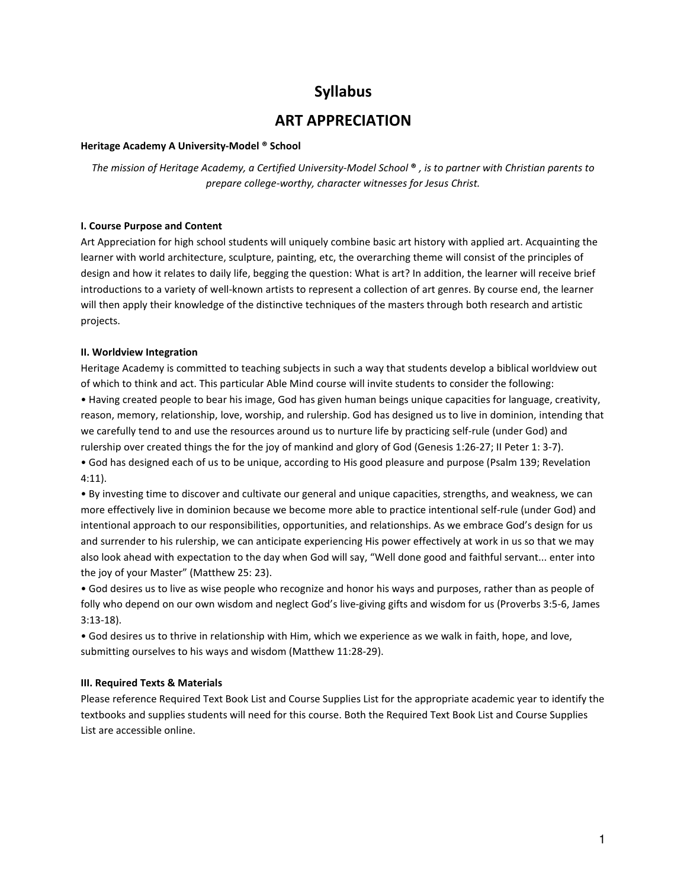# Syllabus

## ART APPRECIATION

#### Heritage Academy A University-Model ® School

The mission of Heritage Academy, a Certified University-Model School ® , is to partner with Christian parents to prepare college-worthy, character witnesses for Jesus Christ.

#### I. Course Purpose and Content

Art Appreciation for high school students will uniquely combine basic art history with applied art. Acquainting the learner with world architecture, sculpture, painting, etc, the overarching theme will consist of the principles of design and how it relates to daily life, begging the question: What is art? In addition, the learner will receive brief introductions to a variety of well-known artists to represent a collection of art genres. By course end, the learner will then apply their knowledge of the distinctive techniques of the masters through both research and artistic projects.

#### II. Worldview Integration

Heritage Academy is committed to teaching subjects in such a way that students develop a biblical worldview out of which to think and act. This particular Able Mind course will invite students to consider the following: • Having created people to bear his image, God has given human beings unique capacities for language, creativity, reason, memory, relationship, love, worship, and rulership. God has designed us to live in dominion, intending that we carefully tend to and use the resources around us to nurture life by practicing self-rule (under God) and rulership over created things the for the joy of mankind and glory of God (Genesis 1:26-27; II Peter 1: 3-7). • God has designed each of us to be unique, according to His good pleasure and purpose (Psalm 139; Revelation 4:11).

• By investing time to discover and cultivate our general and unique capacities, strengths, and weakness, we can more effectively live in dominion because we become more able to practice intentional self-rule (under God) and intentional approach to our responsibilities, opportunities, and relationships. As we embrace God's design for us and surrender to his rulership, we can anticipate experiencing His power effectively at work in us so that we may also look ahead with expectation to the day when God will say, "Well done good and faithful servant... enter into the joy of your Master" (Matthew 25: 23).

• God desires us to live as wise people who recognize and honor his ways and purposes, rather than as people of folly who depend on our own wisdom and neglect God's live-giving gifts and wisdom for us (Proverbs 3:5-6, James 3:13-18).

• God desires us to thrive in relationship with Him, which we experience as we walk in faith, hope, and love, submitting ourselves to his ways and wisdom (Matthew 11:28-29).

#### III. Required Texts & Materials

Please reference Required Text Book List and Course Supplies List for the appropriate academic year to identify the textbooks and supplies students will need for this course. Both the Required Text Book List and Course Supplies List are accessible online.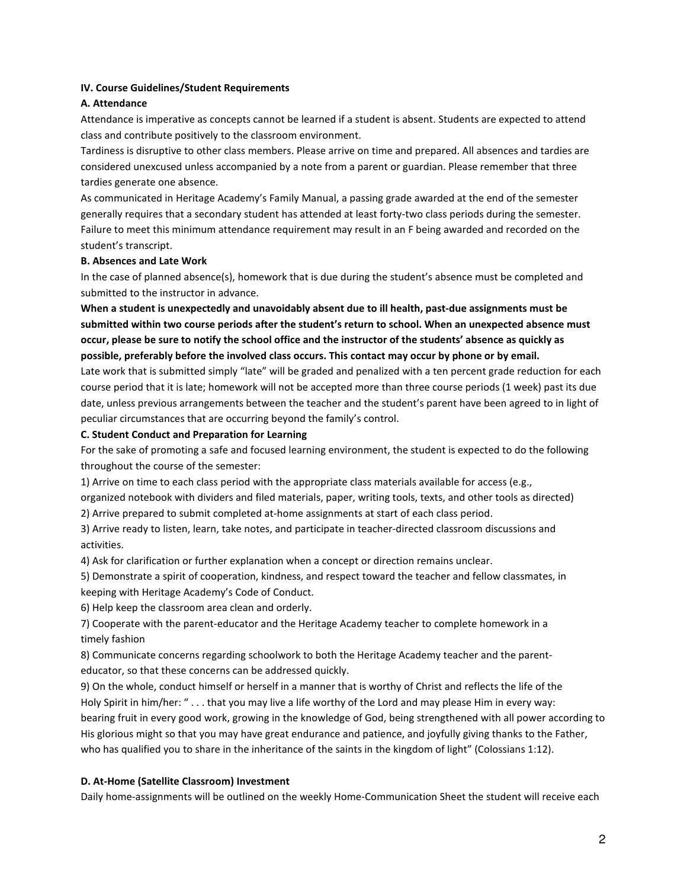## IV. Course Guidelines/Student Requirements

## A. Attendance

Attendance is imperative as concepts cannot be learned if a student is absent. Students are expected to attend class and contribute positively to the classroom environment.

Tardiness is disruptive to other class members. Please arrive on time and prepared. All absences and tardies are considered unexcused unless accompanied by a note from a parent or guardian. Please remember that three tardies generate one absence.

As communicated in Heritage Academy's Family Manual, a passing grade awarded at the end of the semester generally requires that a secondary student has attended at least forty-two class periods during the semester. Failure to meet this minimum attendance requirement may result in an F being awarded and recorded on the student's transcript.

#### B. Absences and Late Work

In the case of planned absence(s), homework that is due during the student's absence must be completed and submitted to the instructor in advance.

When a student is unexpectedly and unavoidably absent due to ill health, past-due assignments must be submitted within two course periods after the student's return to school. When an unexpected absence must occur, please be sure to notify the school office and the instructor of the students' absence as quickly as possible, preferably before the involved class occurs. This contact may occur by phone or by email.

Late work that is submitted simply "late" will be graded and penalized with a ten percent grade reduction for each course period that it is late; homework will not be accepted more than three course periods (1 week) past its due date, unless previous arrangements between the teacher and the student's parent have been agreed to in light of peculiar circumstances that are occurring beyond the family's control.

## C. Student Conduct and Preparation for Learning

For the sake of promoting a safe and focused learning environment, the student is expected to do the following throughout the course of the semester:

1) Arrive on time to each class period with the appropriate class materials available for access (e.g.,

organized notebook with dividers and filed materials, paper, writing tools, texts, and other tools as directed)

2) Arrive prepared to submit completed at-home assignments at start of each class period.

3) Arrive ready to listen, learn, take notes, and participate in teacher-directed classroom discussions and activities.

4) Ask for clarification or further explanation when a concept or direction remains unclear.

5) Demonstrate a spirit of cooperation, kindness, and respect toward the teacher and fellow classmates, in keeping with Heritage Academy's Code of Conduct.

6) Help keep the classroom area clean and orderly.

7) Cooperate with the parent-educator and the Heritage Academy teacher to complete homework in a timely fashion

8) Communicate concerns regarding schoolwork to both the Heritage Academy teacher and the parenteducator, so that these concerns can be addressed quickly.

9) On the whole, conduct himself or herself in a manner that is worthy of Christ and reflects the life of the Holy Spirit in him/her: " . . . that you may live a life worthy of the Lord and may please Him in every way: bearing fruit in every good work, growing in the knowledge of God, being strengthened with all power according to His glorious might so that you may have great endurance and patience, and joyfully giving thanks to the Father, who has qualified you to share in the inheritance of the saints in the kingdom of light" (Colossians 1:12).

## D. At-Home (Satellite Classroom) Investment

Daily home-assignments will be outlined on the weekly Home-Communication Sheet the student will receive each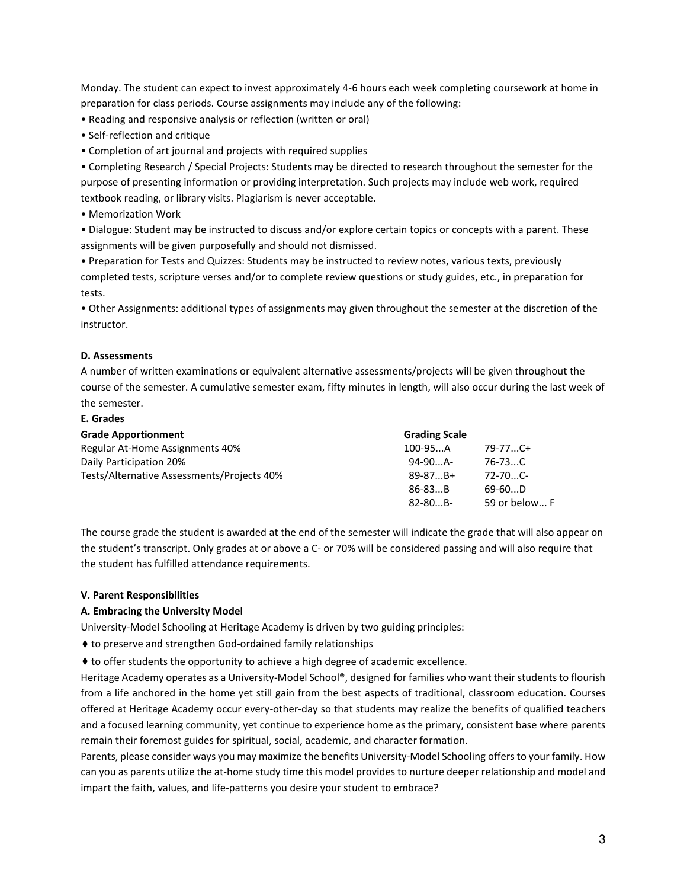Monday. The student can expect to invest approximately 4-6 hours each week completing coursework at home in preparation for class periods. Course assignments may include any of the following:

- Reading and responsive analysis or reflection (written or oral)
- Self-reflection and critique
- Completion of art journal and projects with required supplies

• Completing Research / Special Projects: Students may be directed to research throughout the semester for the purpose of presenting information or providing interpretation. Such projects may include web work, required textbook reading, or library visits. Plagiarism is never acceptable.

• Memorization Work

• Dialogue: Student may be instructed to discuss and/or explore certain topics or concepts with a parent. These assignments will be given purposefully and should not dismissed.

• Preparation for Tests and Quizzes: Students may be instructed to review notes, various texts, previously completed tests, scripture verses and/or to complete review questions or study guides, etc., in preparation for tests.

• Other Assignments: additional types of assignments may given throughout the semester at the discretion of the instructor.

#### D. Assessments

A number of written examinations or equivalent alternative assessments/projects will be given throughout the course of the semester. A cumulative semester exam, fifty minutes in length, will also occur during the last week of the semester.

#### E. Grades

| <b>Grade Apportionment</b>                 | <b>Grading Scale</b> |               |
|--------------------------------------------|----------------------|---------------|
| Regular At-Home Assignments 40%            | 100-95A              | $79 - 77$ C+  |
| Daily Participation 20%                    | $94-90$ A-           | 76-73C        |
| Tests/Alternative Assessments/Projects 40% | $89 - 87B +$         | $72 - 70$ C-  |
|                                            | $86 - 83B$           | $69-60D$      |
|                                            | $82 - 80B -$         | 59 or below F |

The course grade the student is awarded at the end of the semester will indicate the grade that will also appear on the student's transcript. Only grades at or above a C- or 70% will be considered passing and will also require that the student has fulfilled attendance requirements.

#### V. Parent Responsibilities

#### A. Embracing the University Model

University-Model Schooling at Heritage Academy is driven by two guiding principles:

♦ to preserve and strengthen God-ordained family relationships

♦ to offer students the opportunity to achieve a high degree of academic excellence.

Heritage Academy operates as a University-Model School®, designed for families who want their students to flourish from a life anchored in the home yet still gain from the best aspects of traditional, classroom education. Courses offered at Heritage Academy occur every-other-day so that students may realize the benefits of qualified teachers and a focused learning community, yet continue to experience home as the primary, consistent base where parents remain their foremost guides for spiritual, social, academic, and character formation.

Parents, please consider ways you may maximize the benefits University-Model Schooling offers to your family. How can you as parents utilize the at-home study time this model provides to nurture deeper relationship and model and impart the faith, values, and life-patterns you desire your student to embrace?